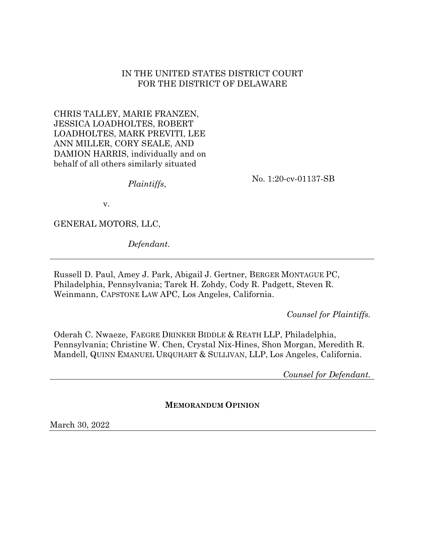## IN THE UNITED STATES DISTRICT COURT FOR THE DISTRICT OF DELAWARE

CHRIS TALLEY, MARIE FRANZEN, JESSICA LOADHOLTES, ROBERT LOADHOLTES, MARK PREVITI, LEE ANN MILLER, CORY SEALE, AND DAMION HARRIS, individually and on behalf of all others similarly situated

*Plaintiffs*,

No. 1:20-cv-01137-SB

v.

GENERAL MOTORS, LLC,

*Defendant*.

Russell D. Paul, Amey J. Park, Abigail J. Gertner, BERGER MONTAGUE PC, Philadelphia, Pennsylvania; Tarek H. Zohdy, Cody R. Padgett, Steven R. Weinmann, CAPSTONE LAW APC, Los Angeles, California.

*Counsel for Plaintiffs.*

Oderah C. Nwaeze, FAEGRE DRINKER BIDDLE & REATH LLP, Philadelphia, Pennsylvania; Christine W. Chen, Crystal Nix-Hines, Shon Morgan, Meredith R. Mandell, QUINN EMANUEL URQUHART & SULLIVAN, LLP, Los Angeles, California.

*Counsel for Defendant.*

**MEMORANDUM OPINION**

March 30, 2022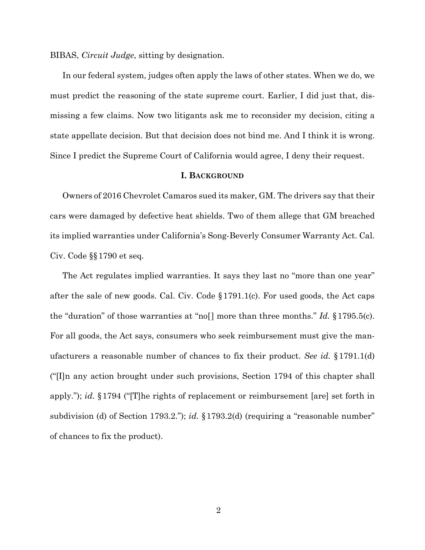BIBAS, *Circuit Judge*, sitting by designation.

In our federal system, judges often apply the laws of other states. When we do, we must predict the reasoning of the state supreme court. Earlier, I did just that, dismissing a few claims. Now two litigants ask me to reconsider my decision, citing a state appellate decision. But that decision does not bind me. And I think it is wrong. Since I predict the Supreme Court of California would agree, I deny their request.

## **I. BACKGROUND**

Owners of 2016 Chevrolet Camaros sued its maker, GM. The drivers say that their cars were damaged by defective heat shields. Two of them allege that GM breached its implied warranties under California's Song-Beverly Consumer Warranty Act. Cal. Civ. Code §§1790 et seq.

The Act regulates implied warranties. It says they last no "more than one year" after the sale of new goods. Cal. Civ. Code §1791.1(c). For used goods, the Act caps the "duration" of those warranties at "no[] more than three months." *Id.* §1795.5(c). For all goods, the Act says, consumers who seek reimbursement must give the manufacturers a reasonable number of chances to fix their product. *See id.* §1791.1(d) ("[I]n any action brought under such provisions, Section 1794 of this chapter shall apply."); *id.* §1794 ("[T]he rights of replacement or reimbursement [are] set forth in subdivision (d) of Section 1793.2."); *id.* §1793.2(d) (requiring a "reasonable number" of chances to fix the product).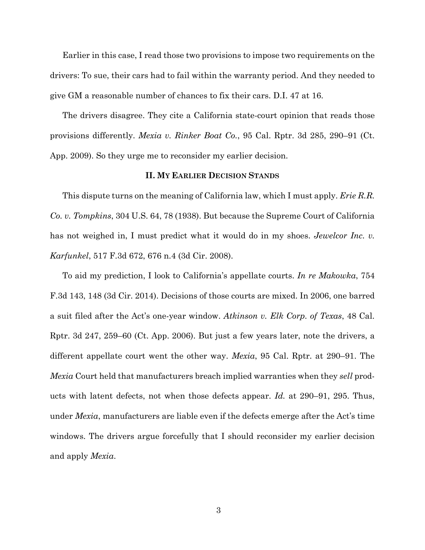Earlier in this case, I read those two provisions to impose two requirements on the drivers: To sue, their cars had to fail within the warranty period. And they needed to give GM a reasonable number of chances to fix their cars. D.I. 47 at 16.

The drivers disagree. They cite a California state-court opinion that reads those provisions differently. *Mexia v. Rinker Boat Co.*, 95 Cal. Rptr. 3d 285, 290–91 (Ct. App. 2009). So they urge me to reconsider my earlier decision.

## **II. MY EARLIER DECISION STANDS**

This dispute turns on the meaning of California law, which I must apply. *Erie R.R. Co. v. Tompkins*, 304 U.S. 64, 78 (1938). But because the Supreme Court of California has not weighed in, I must predict what it would do in my shoes. *Jewelcor Inc. v. Karfunkel*, 517 F.3d 672, 676 n.4 (3d Cir. 2008).

To aid my prediction, I look to California's appellate courts. *In re Makowka*, 754 F.3d 143, 148 (3d Cir. 2014). Decisions of those courts are mixed. In 2006, one barred a suit filed after the Act's one-year window. *Atkinson v. Elk Corp. of Texas*, 48 Cal. Rptr. 3d 247, 259–60 (Ct. App. 2006). But just a few years later, note the drivers, a different appellate court went the other way. *Mexia*, 95 Cal. Rptr. at 290–91. The *Mexia* Court held that manufacturers breach implied warranties when they *sell* products with latent defects, not when those defects appear. *Id.* at 290–91, 295. Thus, under *Mexia*, manufacturers are liable even if the defects emerge after the Act's time windows. The drivers argue forcefully that I should reconsider my earlier decision and apply *Mexia*.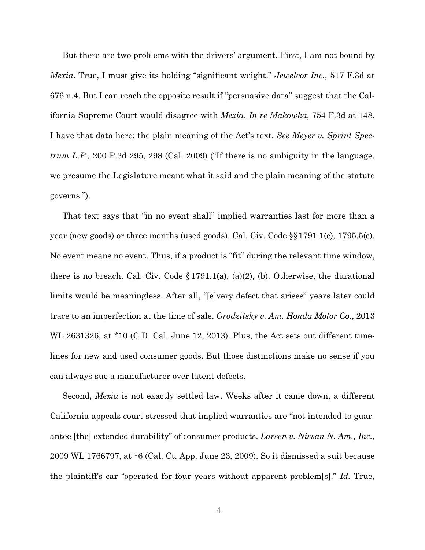But there are two problems with the drivers' argument. First, I am not bound by *Mexia*. True, I must give its holding "significant weight." *Jewelcor Inc.*, 517 F.3d at 676 n.4. But I can reach the opposite result if "persuasive data" suggest that the California Supreme Court would disagree with *Mexia*. *In re Makowka*, 754 F.3d at 148. I have that data here: the plain meaning of the Act's text. *See Meyer v. Sprint Spectrum L.P.,* 200 P.3d 295, 298 (Cal. 2009) ("If there is no ambiguity in the language, we presume the Legislature meant what it said and the plain meaning of the statute governs.").

That text says that "in no event shall" implied warranties last for more than a year (new goods) or three months (used goods). Cal. Civ. Code §§1791.1(c), 1795.5(c). No event means no event. Thus, if a product is "fit" during the relevant time window, there is no breach. Cal. Civ. Code  $\S 1791.1(a)$ ,  $(a)(2)$ , (b). Otherwise, the durational limits would be meaningless. After all, "[e]very defect that arises" years later could trace to an imperfection at the time of sale. *Grodzitsky v. Am. Honda Motor Co.*, 2013 WL 2631326, at \*10 (C.D. Cal. June 12, 2013). Plus, the Act sets out different timelines for new and used consumer goods. But those distinctions make no sense if you can always sue a manufacturer over latent defects.

Second, *Mexia* is not exactly settled law. Weeks after it came down, a different California appeals court stressed that implied warranties are "not intended to guarantee [the] extended durability" of consumer products. *Larsen v. Nissan N. Am., Inc.*, 2009 WL 1766797, at \*6 (Cal. Ct. App. June 23, 2009). So it dismissed a suit because the plaintiff's car "operated for four years without apparent problem[s]." *Id.* True,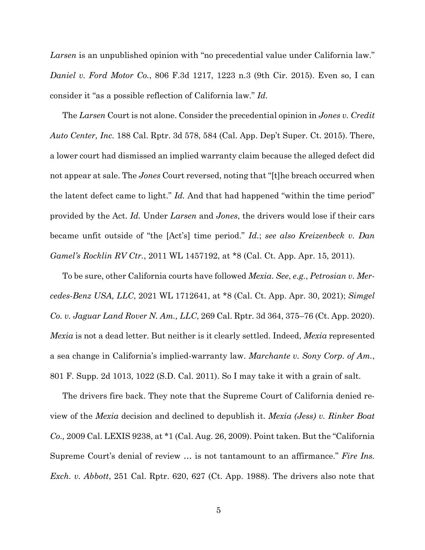*Larsen* is an unpublished opinion with "no precedential value under California law." *Daniel v. Ford Motor Co.*, 806 F.3d 1217, 1223 n.3 (9th Cir. 2015). Even so, I can consider it "as a possible reflection of California law." *Id.*

The *Larsen* Court is not alone. Consider the precedential opinion in *Jones v. Credit Auto Center, Inc.* 188 Cal. Rptr. 3d 578, 584 (Cal. App. Dep't Super. Ct. 2015). There, a lower court had dismissed an implied warranty claim because the alleged defect did not appear at sale. The *Jones* Court reversed, noting that "[t]he breach occurred when the latent defect came to light." *Id.* And that had happened "within the time period" provided by the Act. *Id.* Under *Larsen* and *Jones*, the drivers would lose if their cars became unfit outside of "the [Act's] time period." *Id.*; *see also Kreizenbeck v. Dan Gamel's Rocklin RV Ctr.*, 2011 WL 1457192, at \*8 (Cal. Ct. App. Apr. 15, 2011).

To be sure, other California courts have followed *Mexia*. *See*, *e.g.*, *Petrosian v. Mercedes-Benz USA, LLC*, 2021 WL 1712641, at \*8 (Cal. Ct. App. Apr. 30, 2021); *Simgel Co. v. Jaguar Land Rover N. Am., LLC*, 269 Cal. Rptr. 3d 364, 375–76 (Ct. App. 2020). *Mexia* is not a dead letter. But neither is it clearly settled. Indeed, *Mexia* represented a sea change in California's implied-warranty law. *Marchante v. Sony Corp. of Am.*, 801 F. Supp. 2d 1013, 1022 (S.D. Cal. 2011). So I may take it with a grain of salt.

The drivers fire back. They note that the Supreme Court of California denied review of the *Mexia* decision and declined to depublish it. *Mexia (Jess) v. Rinker Boat Co.,* 2009 Cal. LEXIS 9238, at \*1 (Cal. Aug. 26, 2009). Point taken. But the "California Supreme Court's denial of review … is not tantamount to an affirmance." *Fire Ins. Exch. v. Abbott*, 251 Cal. Rptr. 620, 627 (Ct. App. 1988). The drivers also note that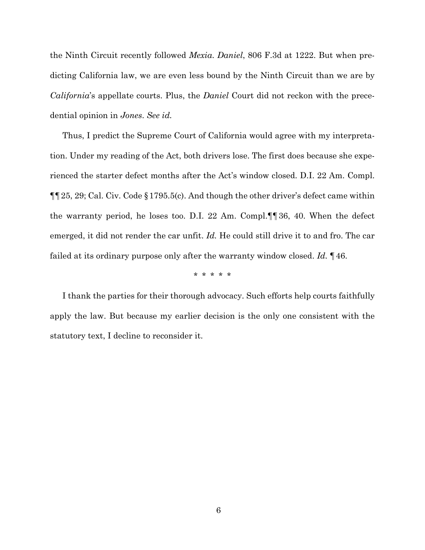the Ninth Circuit recently followed *Mexia*. *Daniel*, 806 F.3d at 1222. But when predicting California law, we are even less bound by the Ninth Circuit than we are by *California*'s appellate courts. Plus, the *Daniel* Court did not reckon with the precedential opinion in *Jones*. *See id.* 

Thus, I predict the Supreme Court of California would agree with my interpretation. Under my reading of the Act, both drivers lose. The first does because she experienced the starter defect months after the Act's window closed. D.I. 22 Am. Compl. ¶¶25, 29; Cal. Civ. Code §1795.5(c). And though the other driver's defect came within the warranty period, he loses too. D.I. 22 Am. Compl.¶¶36, 40. When the defect emerged, it did not render the car unfit. *Id.* He could still drive it to and fro. The car failed at its ordinary purpose only after the warranty window closed. *Id.* ¶46.

\* \* \* \* \*

I thank the parties for their thorough advocacy. Such efforts help courts faithfully apply the law. But because my earlier decision is the only one consistent with the statutory text, I decline to reconsider it.